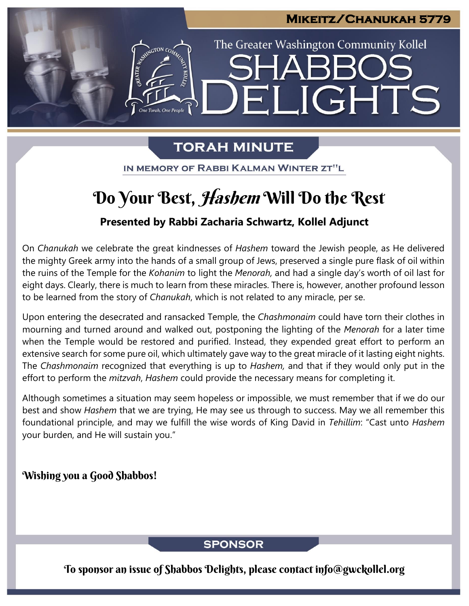# **Mikeitz/Chanukah 5779**  The Greater Washington Community Kollel LIGHTS H

# **TORAH MINUTE**

IN MEMORY OF RABBI KALMAN WINTER ZT"L

# Do Your Best, Hashem Will Do the Rest

# **Presented by Rabbi Zacharia Schwartz, Kollel Adjunct**

On *Chanukah* we celebrate the great kindnesses of *Hashem* toward the Jewish people, as He delivered the mighty Greek army into the hands of a small group of Jews, preserved a single pure flask of oil within the ruins of the Temple for the *Kohanim* to light the *Menorah,* and had a single day's worth of oil last for eight days. Clearly, there is much to learn from these miracles. There is, however, another profound lesson to be learned from the story of *Chanukah*, which is not related to any miracle, per se.

Upon entering the desecrated and ransacked Temple, the *Chashmonaim* could have torn their clothes in mourning and turned around and walked out, postponing the lighting of the *Menorah* for a later time when the Temple would be restored and purified. Instead, they expended great effort to perform an extensive search for some pure oil, which ultimately gave way to the great miracle of it lasting eight nights. The *Chashmonaim* recognized that everything is up to *Hashem,* and that if they would only put in the effort to perform the *mitzvah*, *Hashem* could provide the necessary means for completing it.

Although sometimes a situation may seem hopeless or impossible, we must remember that if we do our best and show *Hashem* that we are trying, He may see us through to success. May we all remember this foundational principle, and may we fulfill the wise words of King David in *Tehillim*: "Cast unto *Hashem* your burden, and He will sustain you."

# Wishing you a Good Shabbos!

## **SPONSOR**

To sponsor an issue of Shabbos Delights, please contact info@gwckollel.org